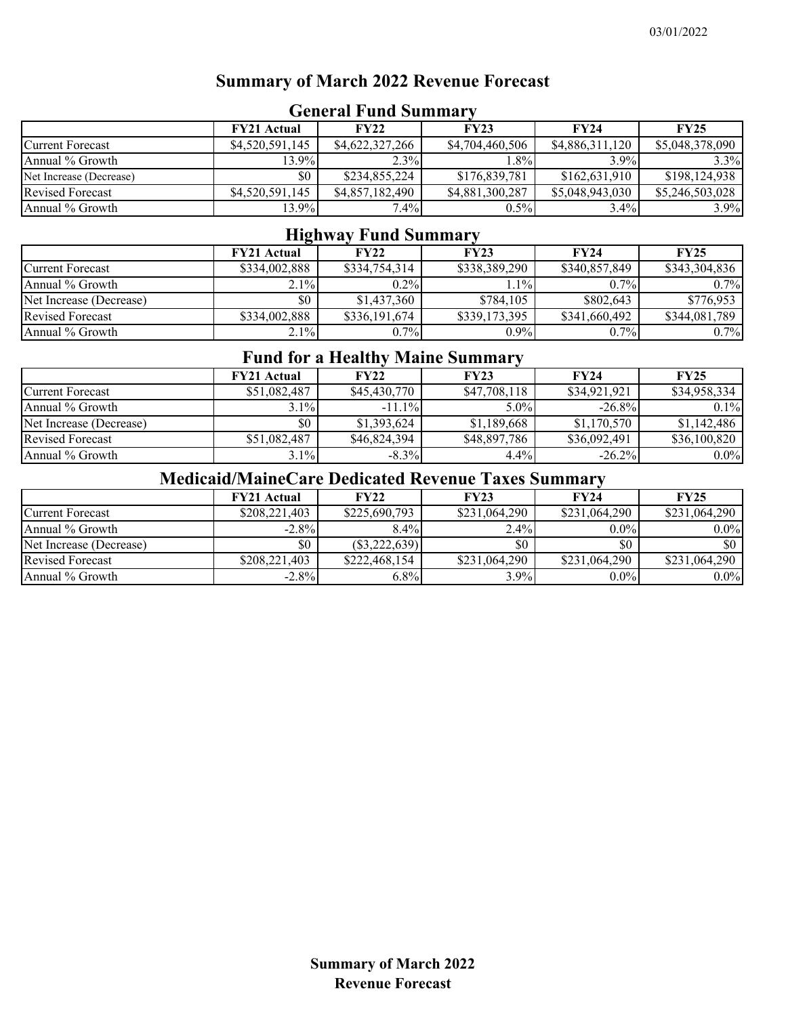## **Summary of March 2022 Revenue Forecast**

| OCHURI FUHU DUHHHAI     |                    |                 |                 |                 |                 |  |
|-------------------------|--------------------|-----------------|-----------------|-----------------|-----------------|--|
|                         | <b>FY21 Actual</b> | <b>FY22</b>     | FY23            | <b>FY24</b>     | <b>FY25</b>     |  |
| Current Forecast        | \$4,520,591,145    | \$4,622,327,266 | \$4,704,460,506 | \$4,886,311,120 | \$5,048,378,090 |  |
| Annual % Growth         | 13.9%              | $2.3\%$         | $.8\%$          | 3.9%            | $3.3\%$         |  |
| Net Increase (Decrease) | \$0                | \$234,855,224   | \$176,839,781   | \$162,631,910   | \$198,124,938   |  |
| <b>Revised Forecast</b> | \$4,520,591,145    | \$4,857,182,490 | \$4,881,300,287 | \$5,048,943,030 | \$5,246,503,028 |  |
| Annual % Growth         | 13.9%              | $7.4\%$         | $0.5\%$         | $3.4\%$         | $3.9\%$         |  |

#### **General Fund Summary**

## **Highway Fund Summary**

|                         | <b>FY21 Actual</b> | <b>FY22</b>   | <b>FY23</b>   | <b>FY24</b>   | <b>FY25</b>   |
|-------------------------|--------------------|---------------|---------------|---------------|---------------|
| <b>Current Forecast</b> | \$334,002,888      | \$334,754,314 | \$338,389,290 | \$340,857,849 | \$343,304,836 |
| Annual % Growth         | 2.1%               | $0.2\%$       | $1.1\%$       | $0.7\%$       | $0.7\%$       |
| Net Increase (Decrease) | \$0                | \$1,437,360   | \$784,105     | \$802,643     | \$776,953     |
| <b>Revised Forecast</b> | \$334,002,888      | \$336,191,674 | \$339,173,395 | \$341,660,492 | \$344,081,789 |
| Annual % Growth         | $2.1\%$            | $0.7\%$       | $0.9\%$       | $0.7\%$       | $0.7\%$       |

#### **Fund for a Healthy Maine Summary**

|                         | <b>FY21 Actual</b> | <b>FY22</b>  | <b>FY23</b>  | <b>FY24</b>  | <b>FY25</b>  |
|-------------------------|--------------------|--------------|--------------|--------------|--------------|
| <b>Current Forecast</b> | \$51,082,487       | \$45,430,770 | \$47,708,118 | \$34,921,921 | \$34,958,334 |
| Annual % Growth         | 3.1%               | $-11.1\%$    | $5.0\%$      | $-26.8\%$    | $0.1\%$      |
| Net Increase (Decrease) | \$0                | \$1,393,624  | \$1,189,668  | \$1,170,570  | \$1,142,486  |
| <b>Revised Forecast</b> | \$51,082,487       | \$46,824,394 | \$48,897,786 | \$36,092,491 | \$36,100,820 |
| Annual % Growth         | $3.1\%$            | $-8.3\%$     | 4.4%         | $-26.2%$     | $0.0\%$      |

# **Medicaid/MaineCare Dedicated Revenue Taxes Summary**

|                         | <b>FY21 Actual</b> | <b>FY22</b>     | FY23          | <b>FY24</b>   | <b>FY25</b>   |
|-------------------------|--------------------|-----------------|---------------|---------------|---------------|
| <b>Current Forecast</b> | \$208,221,403      | \$225,690,793   | \$231,064,290 | \$231,064,290 | \$231,064,290 |
| Annual % Growth         | $-2.8\%$           | $8.4\%$         | $2.4\%$       | $0.0\%$       | $0.0\%$       |
| Net Increase (Decrease) | \$0                | $(\$3,222,639)$ | \$0           | \$0           |               |
| <b>Revised Forecast</b> | \$208,221,403      | \$222,468,154   | \$231,064,290 | \$231,064,290 | \$231,064,290 |
| Annual % Growth         | $-2.8\%$           | $6.8\%$         | $3.9\%$       | $0.0\%$       | $0.0\%$       |